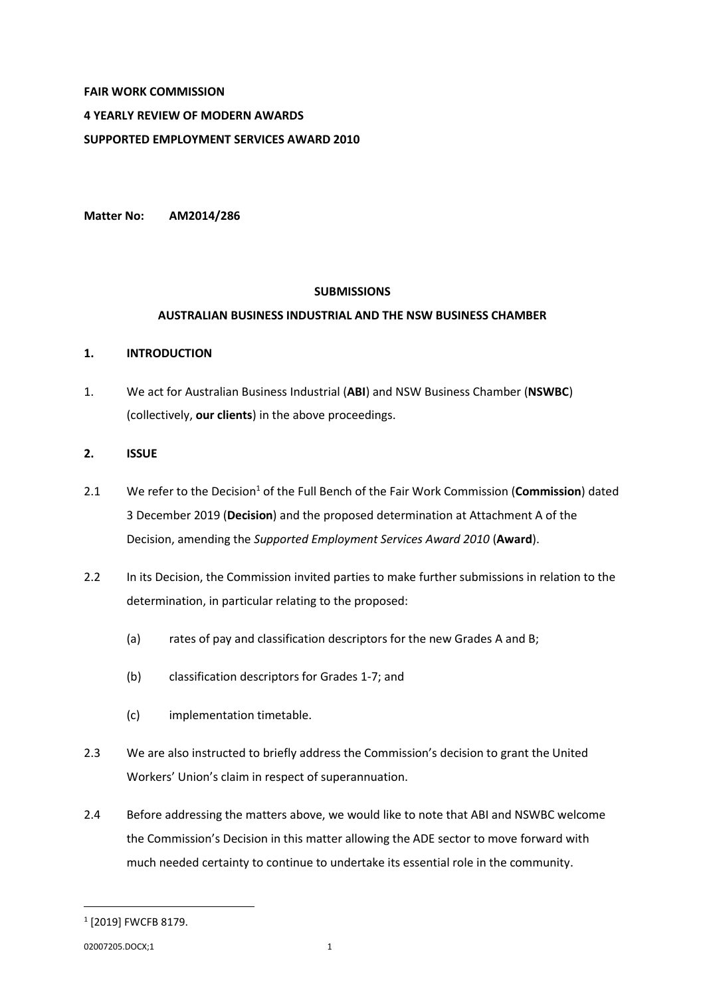# **FAIR WORK COMMISSION 4 YEARLY REVIEW OF MODERN AWARDS SUPPORTED EMPLOYMENT SERVICES AWARD 2010**

**Matter No: AM2014/286**

# **SUBMISSIONS**

# **AUSTRALIAN BUSINESS INDUSTRIAL AND THE NSW BUSINESS CHAMBER**

# **1. INTRODUCTION**

1. We act for Australian Business Industrial (**ABI**) and NSW Business Chamber (**NSWBC**) (collectively, **our clients**) in the above proceedings.

# **2. ISSUE**

- 2.1 We refer to the Decision<sup>1</sup> of the Full Bench of the Fair Work Commission (**Commission**) dated 3 December 2019 (**Decision**) and the proposed determination at Attachment A of the Decision, amending the *Supported Employment Services Award 2010* (**Award**).
- 2.2 In its Decision, the Commission invited parties to make further submissions in relation to the determination, in particular relating to the proposed:
	- (a) rates of pay and classification descriptors for the new Grades A and B;
	- (b) classification descriptors for Grades 1-7; and
	- (c) implementation timetable.
- 2.3 We are also instructed to briefly address the Commission's decision to grant the United Workers' Union's claim in respect of superannuation.
- 2.4 Before addressing the matters above, we would like to note that ABI and NSWBC welcome the Commission's Decision in this matter allowing the ADE sector to move forward with much needed certainty to continue to undertake its essential role in the community.

 $\overline{a}$ 

<sup>1</sup> [2019] FWCFB 8179.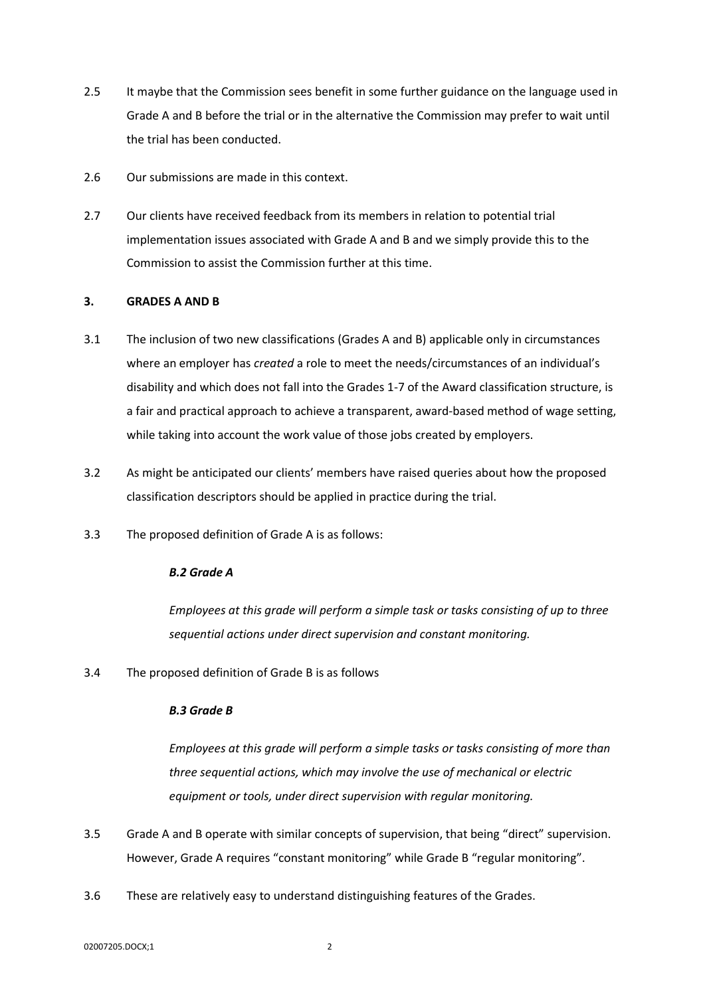- 2.5 It maybe that the Commission sees benefit in some further guidance on the language used in Grade A and B before the trial or in the alternative the Commission may prefer to wait until the trial has been conducted.
- 2.6 Our submissions are made in this context.
- 2.7 Our clients have received feedback from its members in relation to potential trial implementation issues associated with Grade A and B and we simply provide this to the Commission to assist the Commission further at this time.

# **3. GRADES A AND B**

- 3.1 The inclusion of two new classifications (Grades A and B) applicable only in circumstances where an employer has *created* a role to meet the needs/circumstances of an individual's disability and which does not fall into the Grades 1-7 of the Award classification structure, is a fair and practical approach to achieve a transparent, award-based method of wage setting, while taking into account the work value of those jobs created by employers.
- 3.2 As might be anticipated our clients' members have raised queries about how the proposed classification descriptors should be applied in practice during the trial.
- 3.3 The proposed definition of Grade A is as follows:

### *B.2 Grade A*

*Employees at this grade will perform a simple task or tasks consisting of up to three sequential actions under direct supervision and constant monitoring.*

3.4 The proposed definition of Grade B is as follows

### *B.3 Grade B*

*Employees at this grade will perform a simple tasks or tasks consisting of more than three sequential actions, which may involve the use of mechanical or electric equipment or tools, under direct supervision with regular monitoring.*

- 3.5 Grade A and B operate with similar concepts of supervision, that being "direct" supervision. However, Grade A requires "constant monitoring" while Grade B "regular monitoring".
- 3.6 These are relatively easy to understand distinguishing features of the Grades.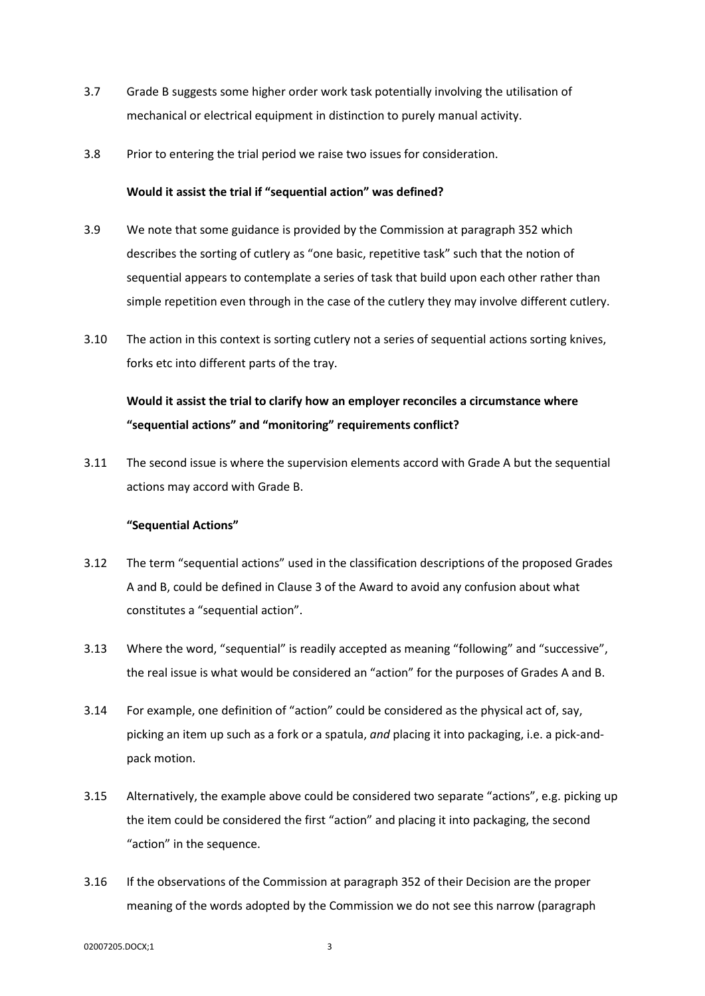- 3.7 Grade B suggests some higher order work task potentially involving the utilisation of mechanical or electrical equipment in distinction to purely manual activity.
- 3.8 Prior to entering the trial period we raise two issues for consideration.

### **Would it assist the trial if "sequential action" was defined?**

- 3.9 We note that some guidance is provided by the Commission at paragraph 352 which describes the sorting of cutlery as "one basic, repetitive task" such that the notion of sequential appears to contemplate a series of task that build upon each other rather than simple repetition even through in the case of the cutlery they may involve different cutlery.
- 3.10 The action in this context is sorting cutlery not a series of sequential actions sorting knives, forks etc into different parts of the tray.

# **Would it assist the trial to clarify how an employer reconciles a circumstance where "sequential actions" and "monitoring" requirements conflict?**

3.11 The second issue is where the supervision elements accord with Grade A but the sequential actions may accord with Grade B.

### **"Sequential Actions"**

- 3.12 The term "sequential actions" used in the classification descriptions of the proposed Grades A and B, could be defined in Clause 3 of the Award to avoid any confusion about what constitutes a "sequential action".
- 3.13 Where the word, "sequential" is readily accepted as meaning "following" and "successive", the real issue is what would be considered an "action" for the purposes of Grades A and B.
- 3.14 For example, one definition of "action" could be considered as the physical act of, say, picking an item up such as a fork or a spatula, *and* placing it into packaging, i.e. a pick-andpack motion.
- <span id="page-2-0"></span>3.15 Alternatively, the example above could be considered two separate "actions", e.g. picking up the item could be considered the first "action" and placing it into packaging, the second "action" in the sequence.
- 3.16 If the observations of the Commission at paragraph 352 of their Decision are the proper meaning of the words adopted by the Commission we do not see this narrow (paragraph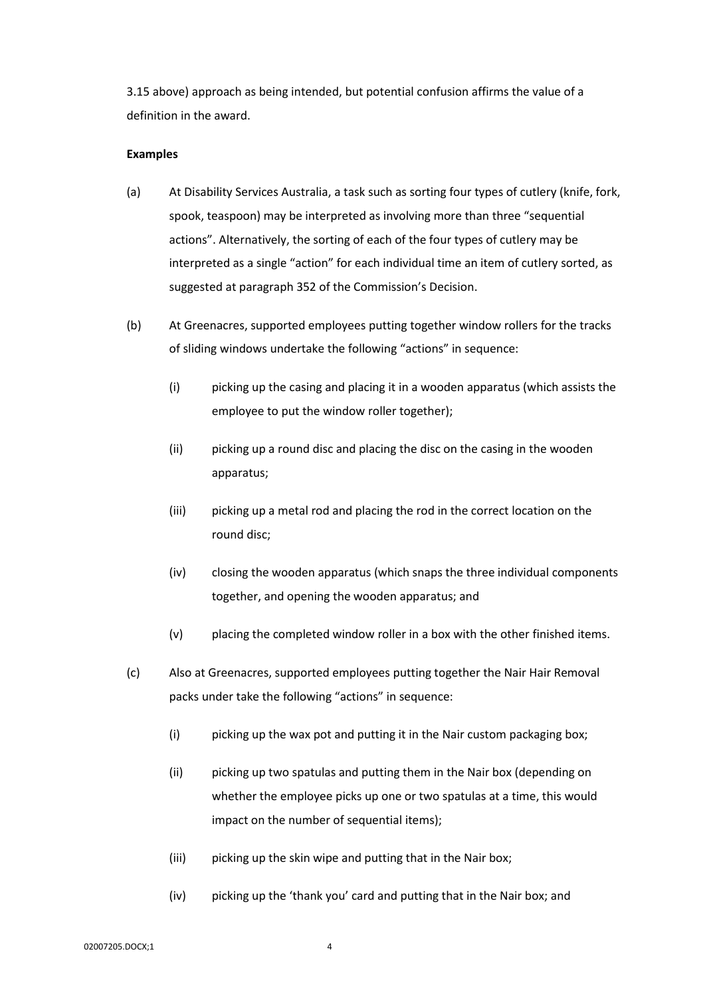[3.15](#page-2-0) above) approach as being intended, but potential confusion affirms the value of a definition in the award.

### **Examples**

- (a) At Disability Services Australia, a task such as sorting four types of cutlery (knife, fork, spook, teaspoon) may be interpreted as involving more than three "sequential actions". Alternatively, the sorting of each of the four types of cutlery may be interpreted as a single "action" for each individual time an item of cutlery sorted, as suggested at paragraph 352 of the Commission's Decision.
- (b) At Greenacres, supported employees putting together window rollers for the tracks of sliding windows undertake the following "actions" in sequence:
	- (i) picking up the casing and placing it in a wooden apparatus (which assists the employee to put the window roller together);
	- (ii) picking up a round disc and placing the disc on the casing in the wooden apparatus;
	- (iii) picking up a metal rod and placing the rod in the correct location on the round disc;
	- (iv) closing the wooden apparatus (which snaps the three individual components together, and opening the wooden apparatus; and
	- (v) placing the completed window roller in a box with the other finished items.
- (c) Also at Greenacres, supported employees putting together the Nair Hair Removal packs under take the following "actions" in sequence:
	- (i) picking up the wax pot and putting it in the Nair custom packaging box;
	- (ii) picking up two spatulas and putting them in the Nair box (depending on whether the employee picks up one or two spatulas at a time, this would impact on the number of sequential items);
	- (iii) picking up the skin wipe and putting that in the Nair box;
	- (iv) picking up the 'thank you' card and putting that in the Nair box; and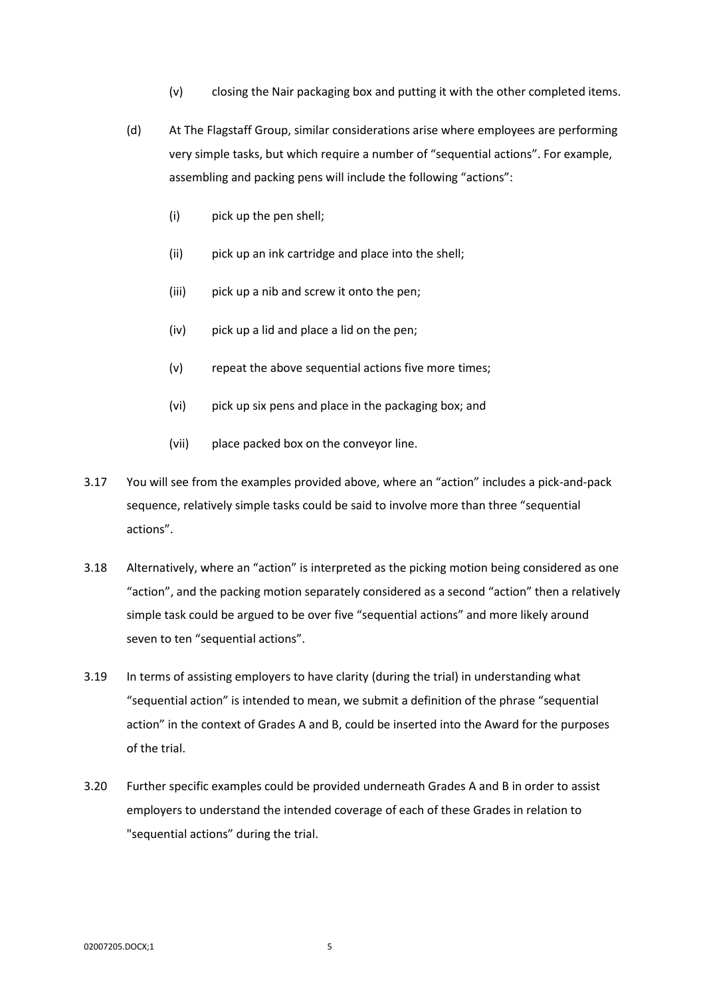- (v) closing the Nair packaging box and putting it with the other completed items.
- (d) At The Flagstaff Group, similar considerations arise where employees are performing very simple tasks, but which require a number of "sequential actions". For example, assembling and packing pens will include the following "actions":
	- (i) pick up the pen shell;
	- (ii) pick up an ink cartridge and place into the shell;
	- (iii) pick up a nib and screw it onto the pen;
	- (iv) pick up a lid and place a lid on the pen;
	- (v) repeat the above sequential actions five more times;
	- (vi) pick up six pens and place in the packaging box; and
	- (vii) place packed box on the conveyor line.
- 3.17 You will see from the examples provided above, where an "action" includes a pick-and-pack sequence, relatively simple tasks could be said to involve more than three "sequential actions".
- 3.18 Alternatively, where an "action" is interpreted as the picking motion being considered as one "action", and the packing motion separately considered as a second "action" then a relatively simple task could be argued to be over five "sequential actions" and more likely around seven to ten "sequential actions".
- 3.19 In terms of assisting employers to have clarity (during the trial) in understanding what "sequential action" is intended to mean, we submit a definition of the phrase "sequential action" in the context of Grades A and B, could be inserted into the Award for the purposes of the trial.
- 3.20 Further specific examples could be provided underneath Grades A and B in order to assist employers to understand the intended coverage of each of these Grades in relation to "sequential actions" during the trial.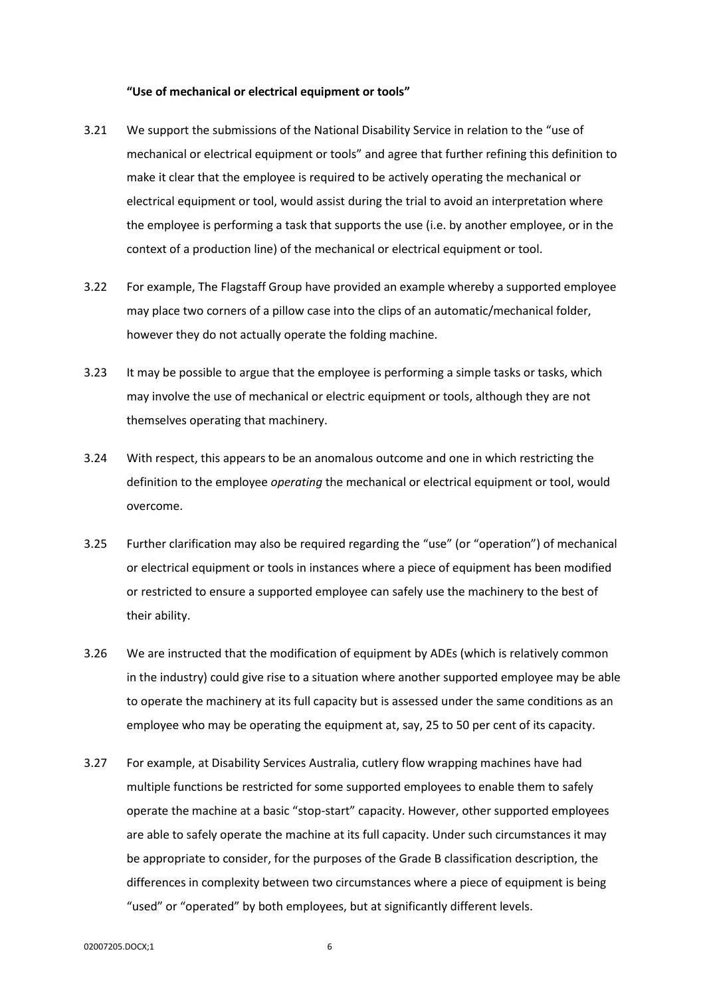#### **"Use of mechanical or electrical equipment or tools"**

- 3.21 We support the submissions of the National Disability Service in relation to the "use of mechanical or electrical equipment or tools" and agree that further refining this definition to make it clear that the employee is required to be actively operating the mechanical or electrical equipment or tool, would assist during the trial to avoid an interpretation where the employee is performing a task that supports the use (i.e. by another employee, or in the context of a production line) of the mechanical or electrical equipment or tool.
- 3.22 For example, The Flagstaff Group have provided an example whereby a supported employee may place two corners of a pillow case into the clips of an automatic/mechanical folder, however they do not actually operate the folding machine.
- 3.23 It may be possible to argue that the employee is performing a simple tasks or tasks, which may involve the use of mechanical or electric equipment or tools, although they are not themselves operating that machinery.
- 3.24 With respect, this appears to be an anomalous outcome and one in which restricting the definition to the employee *operating* the mechanical or electrical equipment or tool, would overcome.
- 3.25 Further clarification may also be required regarding the "use" (or "operation") of mechanical or electrical equipment or tools in instances where a piece of equipment has been modified or restricted to ensure a supported employee can safely use the machinery to the best of their ability.
- 3.26 We are instructed that the modification of equipment by ADEs (which is relatively common in the industry) could give rise to a situation where another supported employee may be able to operate the machinery at its full capacity but is assessed under the same conditions as an employee who may be operating the equipment at, say, 25 to 50 per cent of its capacity.
- 3.27 For example, at Disability Services Australia, cutlery flow wrapping machines have had multiple functions be restricted for some supported employees to enable them to safely operate the machine at a basic "stop-start" capacity. However, other supported employees are able to safely operate the machine at its full capacity. Under such circumstances it may be appropriate to consider, for the purposes of the Grade B classification description, the differences in complexity between two circumstances where a piece of equipment is being "used" or "operated" by both employees, but at significantly different levels.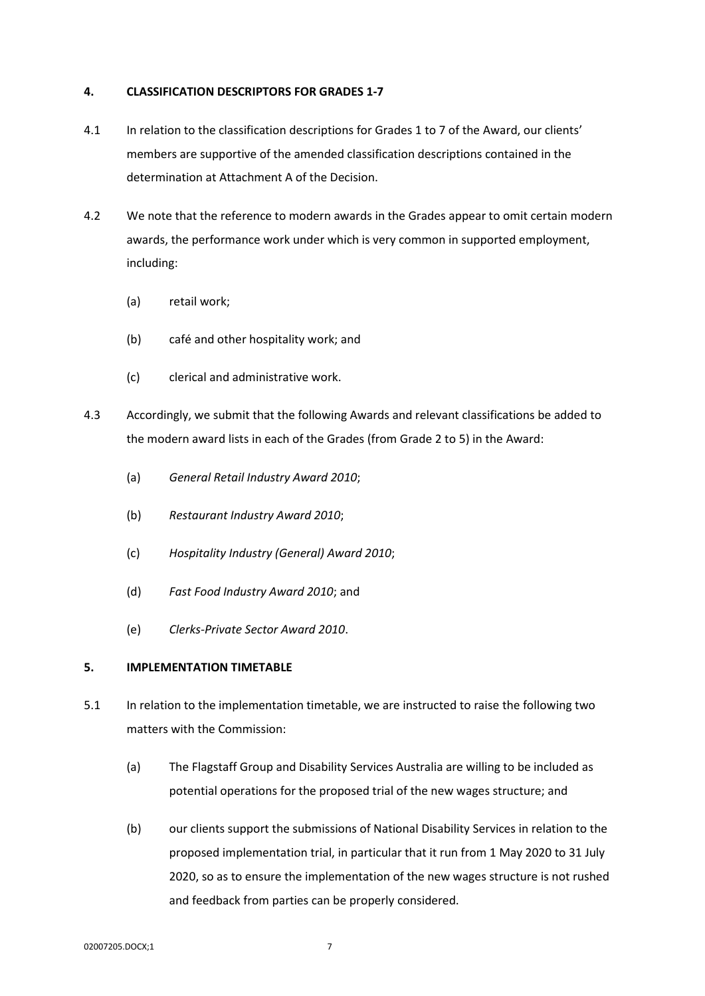### **4. CLASSIFICATION DESCRIPTORS FOR GRADES 1-7**

- 4.1 In relation to the classification descriptions for Grades 1 to 7 of the Award, our clients' members are supportive of the amended classification descriptions contained in the determination at Attachment A of the Decision.
- 4.2 We note that the reference to modern awards in the Grades appear to omit certain modern awards, the performance work under which is very common in supported employment, including:
	- (a) retail work;
	- (b) café and other hospitality work; and
	- (c) clerical and administrative work.
- 4.3 Accordingly, we submit that the following Awards and relevant classifications be added to the modern award lists in each of the Grades (from Grade 2 to 5) in the Award:
	- (a) *General Retail Industry Award 2010*;
	- (b) *Restaurant Industry Award 2010*;
	- (c) *Hospitality Industry (General) Award 2010*;
	- (d) *Fast Food Industry Award 2010*; and
	- (e) *Clerks-Private Sector Award 2010*.

### **5. IMPLEMENTATION TIMETABLE**

- 5.1 In relation to the implementation timetable, we are instructed to raise the following two matters with the Commission:
	- (a) The Flagstaff Group and Disability Services Australia are willing to be included as potential operations for the proposed trial of the new wages structure; and
	- (b) our clients support the submissions of National Disability Services in relation to the proposed implementation trial, in particular that it run from 1 May 2020 to 31 July 2020, so as to ensure the implementation of the new wages structure is not rushed and feedback from parties can be properly considered.